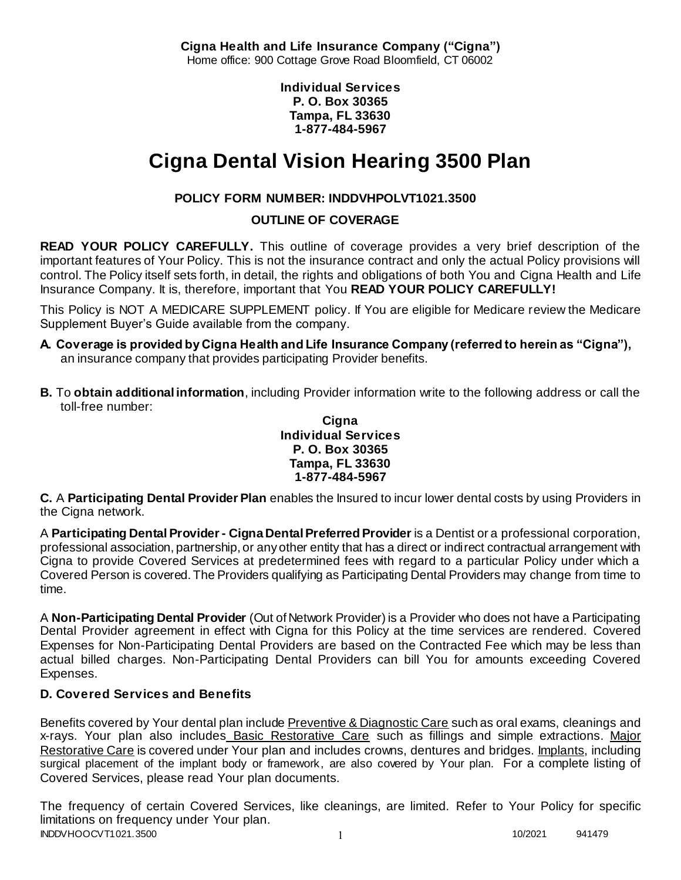**Cigna Health and Life Insurance Company ("Cigna")** Home office: 900 Cottage Grove Road Bloomfield, CT 06002

> **Individual Services P. O. Box 30365 Tampa, FL 33630 1-877-484-5967**

# **Cigna Dental Vision Hearing 3500 Plan**

# **POLICY FORM NUMBER: INDDVHPOLVT1021.3500**

**OUTLINE OF COVERAGE** 

**READ YOUR POLICY CAREFULLY.** This outline of coverage provides a very brief description of the important features of Your Policy. This is not the insurance contract and only the actual Policy provisions will control. The Policy itself sets forth, in detail, the rights and obligations of both You and Cigna Health and Life Insurance Company. It is, therefore, important that You **READ YOUR POLICY CAREFULLY!** 

This Policy is NOT A MEDICARE SUPPLEMENT policy. If You are eligible for Medicare review the Medicare Supplement Buyer's Guide available from the company.

- **A. Coverage is provided by Cigna Health and Life Insurance Company (referred to herein as "Cigna"),**  an insurance company that provides participating Provider benefits.
- **B.** To **obtain additional information**, including Provider information write to the following address or call the toll-free number:

#### **Cigna Individual Services P. O. Box 30365 Tampa, FL 33630 1-877-484-5967**

**C.** A **Participating Dental Provider Plan** enables the Insured to incur lower dental costs by using Providers in the Cigna network.

A **Participating Dental Provider - Cigna Dental Preferred Provider** is a Dentist or a professional corporation, professional association, partnership, or any other entity that has a direct or indirect contractual arrangement with Cigna to provide Covered Services at predetermined fees with regard to a particular Policy under which a Covered Person is covered. The Providers qualifying as Participating Dental Providers may change from time to time.

A **Non-Participating Dental Provider** (Out of Network Provider) is a Provider who does not have a Participating Dental Provider agreement in effect with Cigna for this Policy at the time services are rendered. Covered Expenses for Non-Participating Dental Providers are based on the Contracted Fee which may be less than actual billed charges. Non-Participating Dental Providers can bill You for amounts exceeding Covered Expenses.

# **D. Covered Services and Benefits**

Benefits covered by Your dental plan include Preventive & Diagnostic Care such as oral exams, cleanings and x-rays. Your plan also includes Basic Restorative Care such as fillings and simple extractions. Major Restorative Care is covered under Your plan and includes crowns, dentures and bridges. Implants, including surgical placement of the implant body or framework, are also covered by Your plan. For a complete listing of Covered Services, please read Your plan documents.

INDDVHOOCVT1021.3500 1 20020 1 20020 1 20020 1 20020 1 20020 1 20020 1 20020 1 20020 1 20020 1 20030 1 20020 1 20030 1 20030 1 20030 1 20030 1 20030 1 20030 1 20030 1 20030 1 20030 1 20030 1 20030 1 20030 1 20030 1 20030 1 The frequency of certain Covered Services, like cleanings, are limited. Refer to Your Policy for specific limitations on frequency under Your plan.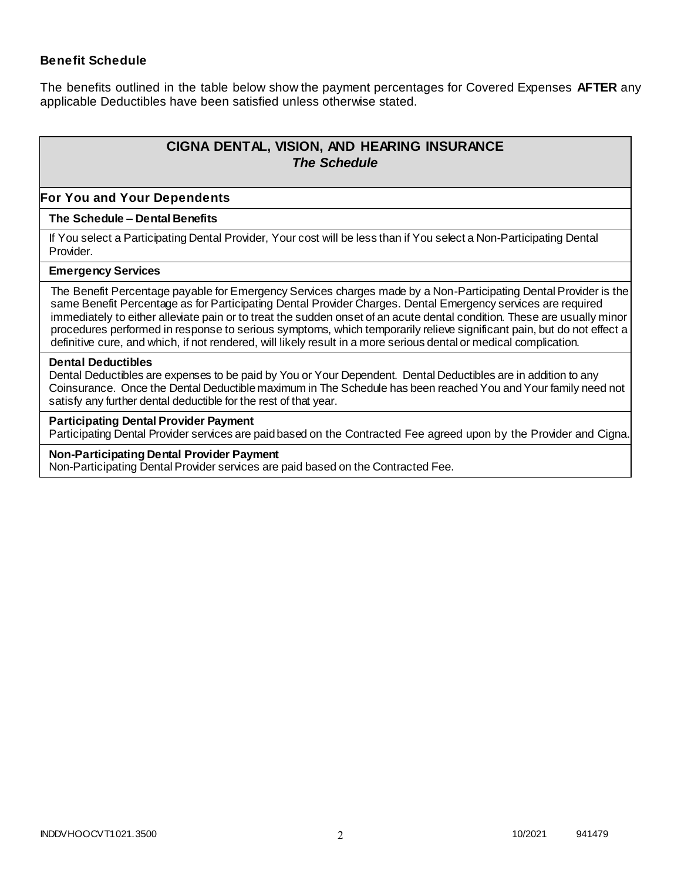### **Benefit Schedule**

The benefits outlined in the table below show the payment percentages for Covered Expenses **AFTER** any applicable Deductibles have been satisfied unless otherwise stated.

# **CIGNA DENTAL, VISION, AND HEARING INSURANCE** *The Schedule*

#### **For You and Your Dependents**

#### **The Schedule – Dental Benefits**

If You select a Participating Dental Provider, Your cost will be less than if You select a Non-Participating Dental Provider.

#### **Emergency Services**

The Benefit Percentage payable for Emergency Services charges made by a Non-Participating Dental Provider is the same Benefit Percentage as for Participating Dental Provider Charges. Dental Emergency services are required immediately to either alleviate pain or to treat the sudden onset of an acute dental condition. These are usually minor procedures performed in response to serious symptoms, which temporarily relieve significant pain, but do not effect a definitive cure, and which, if not rendered, will likely result in a more serious dental or medical complication.

#### **Dental Deductibles**

Dental Deductibles are expenses to be paid by You or Your Dependent. Dental Deductibles are in addition to any Coinsurance. Once the Dental Deductible maximum in The Schedule has been reached You and Your family need not satisfy any further dental deductible for the rest of that year.

#### **Participating Dental Provider Payment**

Participating Dental Provider services are paid based on the Contracted Fee agreed upon by the Provider and Cigna.

#### **Non-Participating Dental Provider Payment**

Non-Participating Dental Provider services are paid based on the Contracted Fee.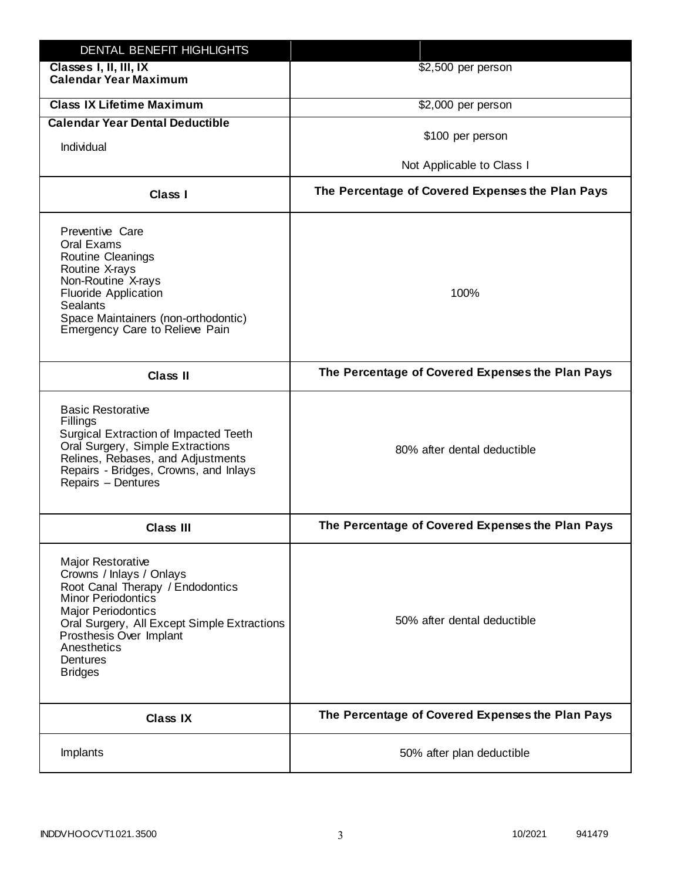| DENTAL BENEFIT HIGHLIGHTS                                                                                                                                                                                                                                                 |                                                  |
|---------------------------------------------------------------------------------------------------------------------------------------------------------------------------------------------------------------------------------------------------------------------------|--------------------------------------------------|
| Classes I, II, III, IX<br><b>Calendar Year Maximum</b>                                                                                                                                                                                                                    | \$2,500 per person                               |
| <b>Class IX Lifetime Maximum</b>                                                                                                                                                                                                                                          | \$2,000 per person                               |
| <b>Calendar Year Dental Deductible</b>                                                                                                                                                                                                                                    |                                                  |
| Individual                                                                                                                                                                                                                                                                | \$100 per person                                 |
|                                                                                                                                                                                                                                                                           | Not Applicable to Class I                        |
| Class I                                                                                                                                                                                                                                                                   | The Percentage of Covered Expenses the Plan Pays |
| Preventive Care<br>Oral Exams<br><b>Routine Cleanings</b><br>Routine X-rays<br>Non-Routine X-rays<br><b>Fluoride Application</b><br><b>Sealants</b><br>Space Maintainers (non-orthodontic)<br>Emergency Care to Relieve Pain                                              | 100%                                             |
| <b>Class II</b>                                                                                                                                                                                                                                                           | The Percentage of Covered Expenses the Plan Pays |
| <b>Basic Restorative</b><br>Fillings<br>Surgical Extraction of Impacted Teeth<br>Oral Surgery, Simple Extractions<br>Relines, Rebases, and Adjustments<br>Repairs - Bridges, Crowns, and Inlays<br>Repairs - Dentures                                                     | 80% after dental deductible                      |
| <b>Class III</b>                                                                                                                                                                                                                                                          | The Percentage of Covered Expenses the Plan Pays |
| <b>Major Restorative</b><br>Crowns / Inlays / Onlays<br>Root Canal Therapy / Endodontics<br><b>Minor Periodontics</b><br><b>Major Periodontics</b><br>Oral Surgery, All Except Simple Extractions<br>Prosthesis Over Implant<br>Anesthetics<br>Dentures<br><b>Bridges</b> | 50% after dental deductible                      |
| <b>Class IX</b>                                                                                                                                                                                                                                                           | The Percentage of Covered Expenses the Plan Pays |
| Implants                                                                                                                                                                                                                                                                  | 50% after plan deductible                        |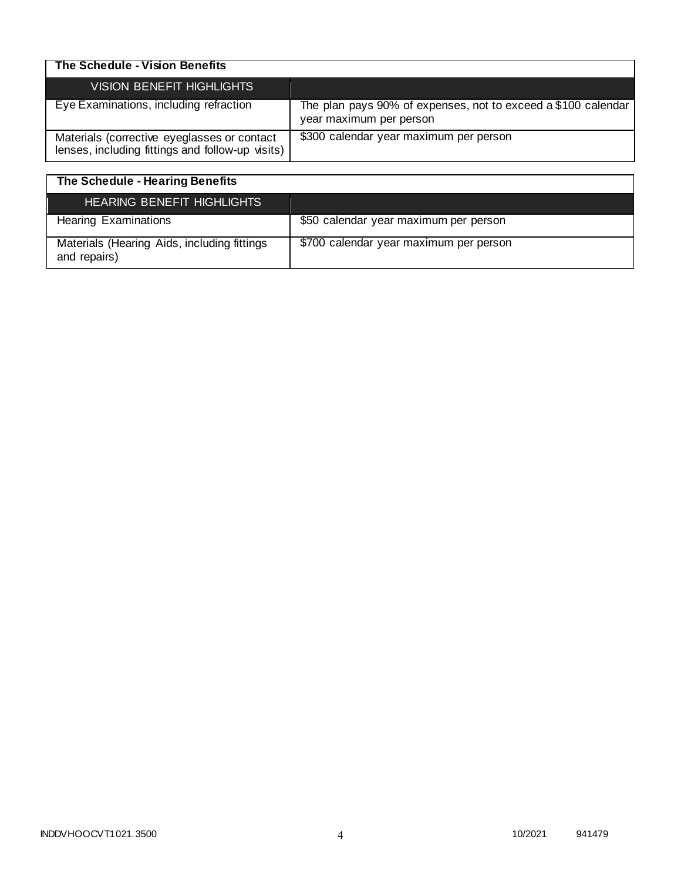| The Schedule - Vision Benefits                                                                  |                                                                                          |
|-------------------------------------------------------------------------------------------------|------------------------------------------------------------------------------------------|
| <b>VISION BENEFIT HIGHLIGHTS</b>                                                                |                                                                                          |
| Eye Examinations, including refraction                                                          | The plan pays 90% of expenses, not to exceed a \$100 calendar<br>year maximum per person |
| Materials (corrective eyeglasses or contact<br>lenses, including fittings and follow-up visits) | \$300 calendar year maximum per person                                                   |

| The Schedule - Hearing Benefits                             |                                        |
|-------------------------------------------------------------|----------------------------------------|
| HEARING BENEFIT HIGHLIGHTS                                  |                                        |
| <b>Hearing Examinations</b>                                 | \$50 calendar year maximum per person  |
| Materials (Hearing Aids, including fittings<br>and repairs) | \$700 calendar year maximum per person |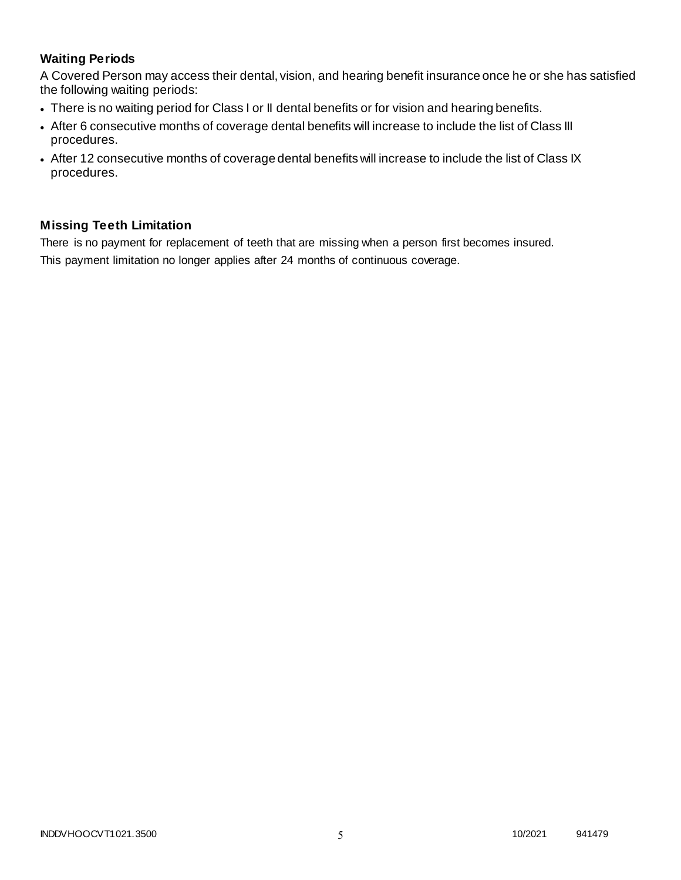## **Waiting Periods**

A Covered Person may access their dental, vision, and hearing benefit insurance once he or she has satisfied the following waiting periods:

- There is no waiting period for Class I or II dental benefits or for vision and hearing benefits.
- After 6 consecutive months of coverage dental benefits will increase to include the list of Class III procedures.
- After 12 consecutive months of coverage dental benefits will increase to include the list of Class IX procedures.

## **Missing Teeth Limitation**

There is no payment for replacement of teeth that are missing when a person first becomes insured. This payment limitation no longer applies after 24 months of continuous coverage.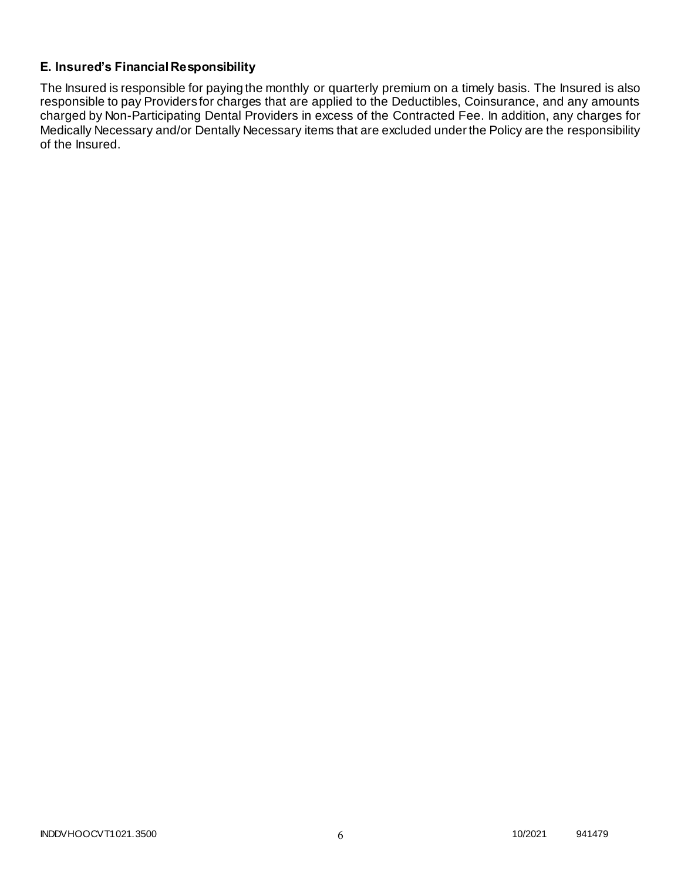## **E. Insured's Financial Responsibility**

The Insured is responsible for paying the monthly or quarterly premium on a timely basis. The Insured is also responsible to pay Providers for charges that are applied to the Deductibles, Coinsurance, and any amounts charged by Non-Participating Dental Providers in excess of the Contracted Fee. In addition, any charges for Medically Necessary and/or Dentally Necessary items that are excluded under the Policy are the responsibility of the Insured.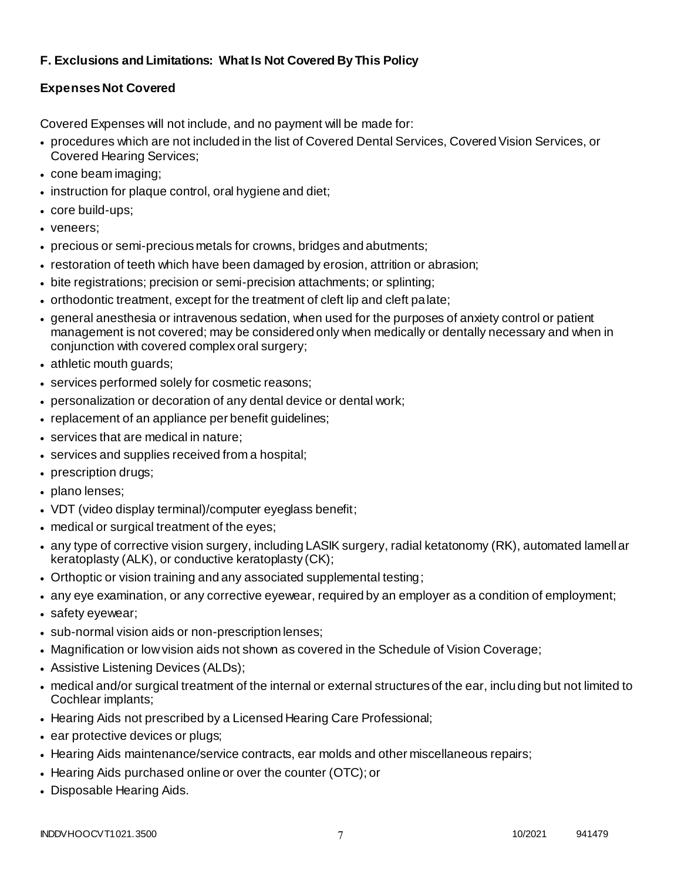# **F. Exclusions and Limitations: What Is Not Covered By This Policy**

# **Expenses Not Covered**

Covered Expenses will not include, and no payment will be made for:

- procedures which are not included in the list of Covered Dental Services, Covered Vision Services, or Covered Hearing Services;
- cone beam imaging;
- instruction for plaque control, oral hygiene and diet;
- core build-ups;
- veneers;
- precious or semi-precious metals for crowns, bridges and abutments;
- restoration of teeth which have been damaged by erosion, attrition or abrasion;
- bite registrations; precision or semi-precision attachments; or splinting;
- orthodontic treatment, except for the treatment of cleft lip and cleft palate;
- general anesthesia or intravenous sedation, when used for the purposes of anxiety control or patient management is not covered; may be considered only when medically or dentally necessary and when in conjunction with covered complex oral surgery;
- athletic mouth guards;
- services performed solely for cosmetic reasons;
- personalization or decoration of any dental device or dental work;
- replacement of an appliance per benefit guidelines;
- services that are medical in nature;
- services and supplies received from a hospital;
- prescription drugs;
- plano lenses;
- VDT (video display terminal)/computer eyeglass benefit;
- medical or surgical treatment of the eyes;
- any type of corrective vision surgery, including LASIK surgery, radial ketatonomy (RK), automated lamellar keratoplasty (ALK), or conductive keratoplasty (CK);
- Orthoptic or vision training and any associated supplemental testing;
- any eye examination, or any corrective eyewear, required by an employer as a condition of employment;
- safety eyewear;
- sub-normal vision aids or non-prescription lenses;
- Magnification or low vision aids not shown as covered in the Schedule of Vision Coverage;
- Assistive Listening Devices (ALDs);
- medical and/or surgical treatment of the internal or external structures of the ear, including but not limited to Cochlear implants;
- Hearing Aids not prescribed by a Licensed Hearing Care Professional;
- ear protective devices or plugs;
- Hearing Aids maintenance/service contracts, ear molds and other miscellaneous repairs;
- Hearing Aids purchased online or over the counter (OTC); or
- Disposable Hearing Aids.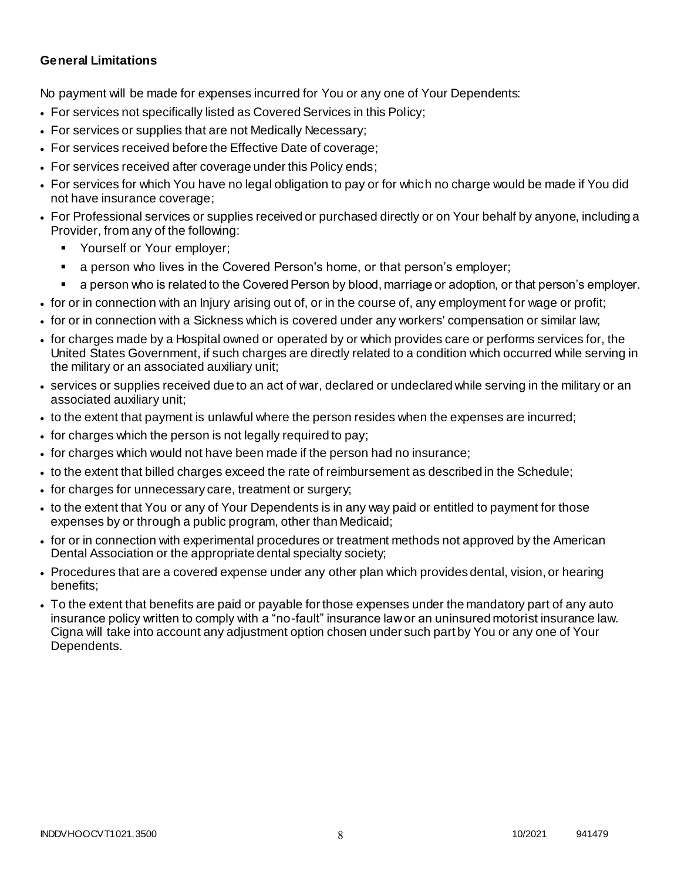### **General Limitations**

No payment will be made for expenses incurred for You or any one of Your Dependents:

- For services not specifically listed as Covered Services in this Policy;
- For services or supplies that are not Medically Necessary;
- For services received before the Effective Date of coverage;
- For services received after coverage under this Policy ends;
- For services for which You have no legal obligation to pay or for which no charge would be made if You did not have insurance coverage;
- For Professional services or supplies received or purchased directly or on Your behalf by anyone, including a Provider, from any of the following:
	- Yourself or Your employer;
	- a person who lives in the Covered Person's home, or that person's employer;
	- a person who is related to the Covered Person by blood, marriage or adoption, or that person's employer.
- for or in connection with an Injury arising out of, or in the course of, any employment for wage or profit;
- for or in connection with a Sickness which is covered under any workers' compensation or similar law;
- for charges made by a Hospital owned or operated by or which provides care or performs services for, the United States Government, if such charges are directly related to a condition which occurred while serving in the military or an associated auxiliary unit;
- services or supplies received due to an act of war, declared or undeclared while serving in the military or an associated auxiliary unit;
- to the extent that payment is unlawful where the person resides when the expenses are incurred;
- for charges which the person is not legally required to pay;
- for charges which would not have been made if the person had no insurance;
- to the extent that billed charges exceed the rate of reimbursement as described in the Schedule;
- for charges for unnecessary care, treatment or surgery;
- to the extent that You or any of Your Dependents is in any way paid or entitled to payment for those expenses by or through a public program, other than Medicaid;
- for or in connection with experimental procedures or treatment methods not approved by the American Dental Association or the appropriate dental specialty society;
- Procedures that are a covered expense under any other plan which provides dental, vision, or hearing benefits;
- To the extent that benefits are paid or payable for those expenses under the mandatory part of any auto insurance policy written to comply with a "no-fault" insurance law or an uninsured motorist insurance law. Cigna will take into account any adjustment option chosen under such part by You or any one of Your Dependents.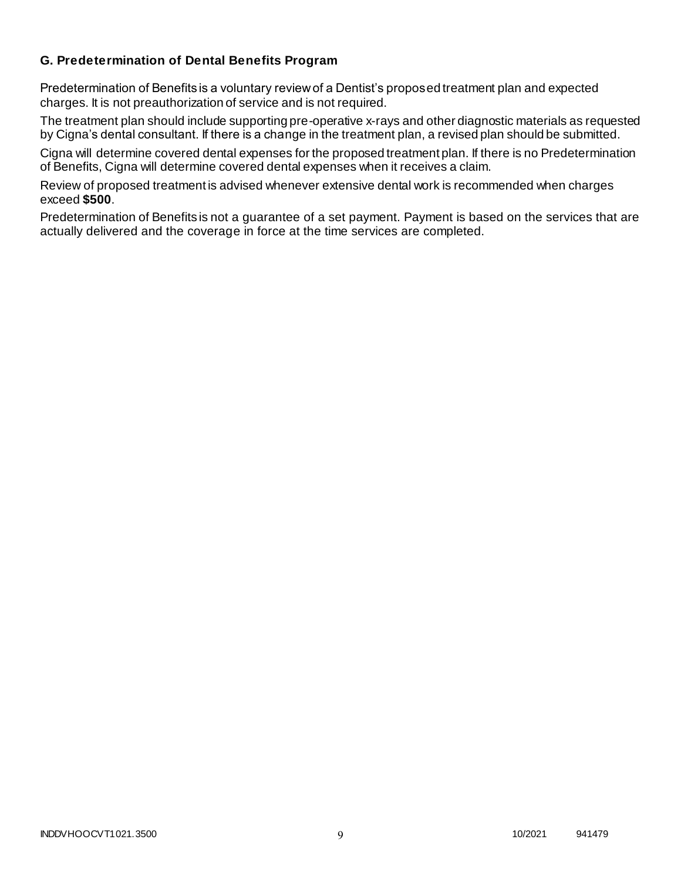### **G. Predetermination of Dental Benefits Program**

Predetermination of Benefits is a voluntary review of a Dentist's proposed treatment plan and expected charges. It is not preauthorization of service and is not required.

The treatment plan should include supporting pre-operative x-rays and other diagnostic materials as requested by Cigna's dental consultant. If there is a change in the treatment plan, a revised plan should be submitted.

Cigna will determine covered dental expenses for the proposed treatment plan. If there is no Predetermination of Benefits, Cigna will determine covered dental expenses when it receives a claim.

Review of proposed treatment is advised whenever extensive dental work is recommended when charges exceed **\$500**.

Predetermination of Benefits is not a guarantee of a set payment. Payment is based on the services that are actually delivered and the coverage in force at the time services are completed.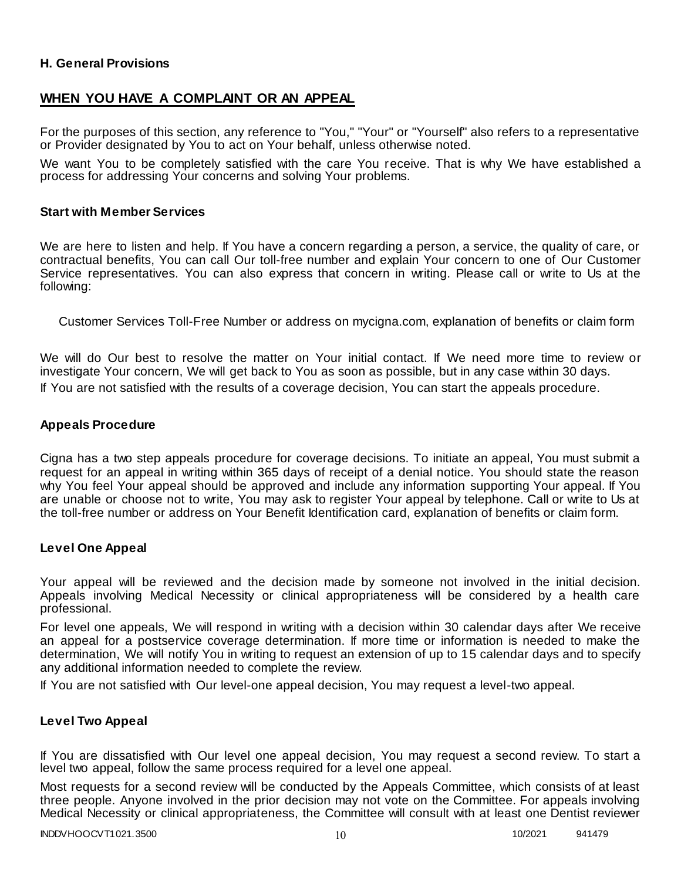### **H. General Provisions**

### **WHEN YOU HAVE A COMPLAINT OR AN APPEAL**

For the purposes of this section, any reference to "You," "Your" or "Yourself" also refers to a representative or Provider designated by You to act on Your behalf, unless otherwise noted.

We want You to be completely satisfied with the care You receive. That is why We have established a process for addressing Your concerns and solving Your problems.

#### **Start with Member Services**

We are here to listen and help. If You have a concern regarding a person, a service, the quality of care, or contractual benefits, You can call Our toll-free number and explain Your concern to one of Our Customer Service representatives. You can also express that concern in writing. Please call or write to Us at the following:

Customer Services Toll-Free Number or address on mycigna.com, explanation of benefits or claim form

We will do Our best to resolve the matter on Your initial contact. If We need more time to review or investigate Your concern, We will get back to You as soon as possible, but in any case within 30 days. If You are not satisfied with the results of a coverage decision, You can start the appeals procedure.

#### **Appeals Procedure**

Cigna has a two step appeals procedure for coverage decisions. To initiate an appeal, You must submit a request for an appeal in writing within 365 days of receipt of a denial notice. You should state the reason why You feel Your appeal should be approved and include any information supporting Your appeal. If You are unable or choose not to write, You may ask to register Your appeal by telephone. Call or write to Us at the toll-free number or address on Your Benefit Identification card, explanation of benefits or claim form.

#### **Level One Appeal**

Your appeal will be reviewed and the decision made by someone not involved in the initial decision. Appeals involving Medical Necessity or clinical appropriateness will be considered by a health care professional.

For level one appeals, We will respond in writing with a decision within 30 calendar days after We receive an appeal for a postservice coverage determination. If more time or information is needed to make the determination, We will notify You in writing to request an extension of up to 15 calendar days and to specify any additional information needed to complete the review.

If You are not satisfied with Our level-one appeal decision, You may request a level-two appeal.

#### **Level Two Appeal**

If You are dissatisfied with Our level one appeal decision, You may request a second review. To start a level two appeal, follow the same process required for a level one appeal.

Most requests for a second review will be conducted by the Appeals Committee, which consists of at least three people. Anyone involved in the prior decision may not vote on the Committee. For appeals involving Medical Necessity or clinical appropriateness, the Committee will consult with at least one Dentist reviewer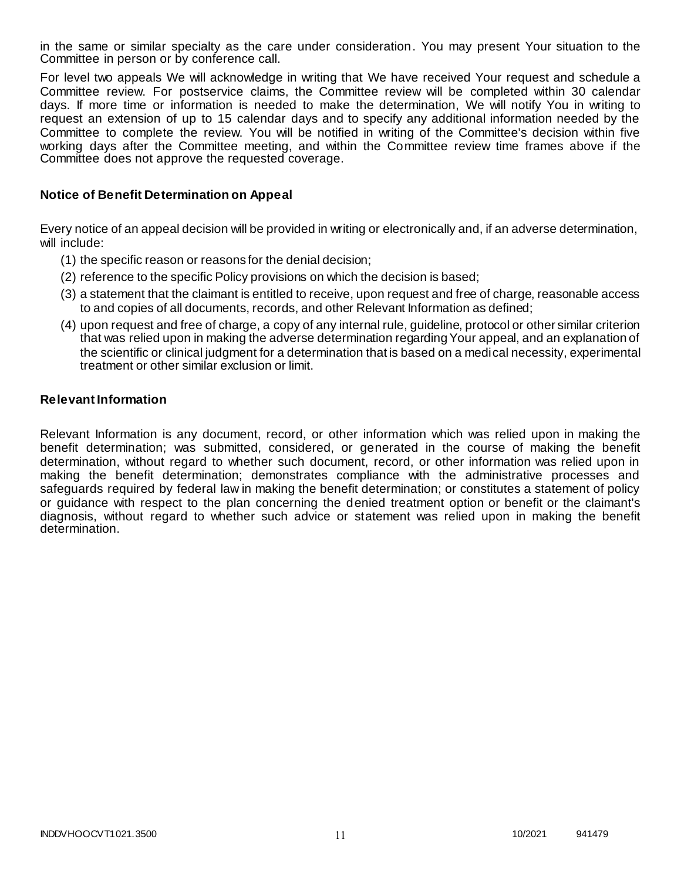in the same or similar specialty as the care under consideration. You may present Your situation to the Committee in person or by conference call.

For level two appeals We will acknowledge in writing that We have received Your request and schedule a Committee review. For postservice claims, the Committee review will be completed within 30 calendar days. If more time or information is needed to make the determination, We will notify You in writing to request an extension of up to 15 calendar days and to specify any additional information needed by the Committee to complete the review. You will be notified in writing of the Committee's decision within five working days after the Committee meeting, and within the Committee review time frames above if the Committee does not approve the requested coverage.

### **Notice of Benefit Determination on Appeal**

Every notice of an appeal decision will be provided in writing or electronically and, if an adverse determination, will include:

- (1) the specific reason or reasons for the denial decision;
- (2) reference to the specific Policy provisions on which the decision is based;
- (3) a statement that the claimant is entitled to receive, upon request and free of charge, reasonable access to and copies of all documents, records, and other Relevant Information as defined;
- (4) upon request and free of charge, a copy of any internal rule, guideline, protocol or other similar criterion that was relied upon in making the adverse determination regarding Your appeal, and an explanation of the scientific or clinical judgment for a determination that is based on a medical necessity, experimental treatment or other similar exclusion or limit.

#### **Relevant Information**

Relevant Information is any document, record, or other information which was relied upon in making the benefit determination; was submitted, considered, or generated in the course of making the benefit determination, without regard to whether such document, record, or other information was relied upon in making the benefit determination; demonstrates compliance with the administrative processes and safeguards required by federal law in making the benefit determination; or constitutes a statement of policy or guidance with respect to the plan concerning the denied treatment option or benefit or the claimant's diagnosis, without regard to whether such advice or statement was relied upon in making the benefit determination.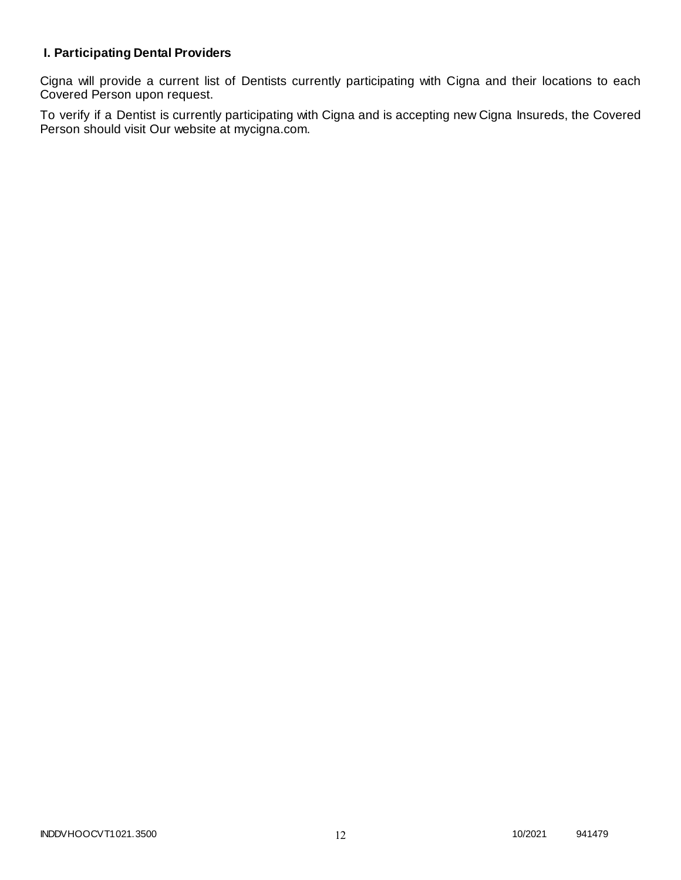# **I. Participating Dental Providers**

Cigna will provide a current list of Dentists currently participating with Cigna and their locations to each Covered Person upon request.

To verify if a Dentist is currently participating with Cigna and is accepting new Cigna Insureds, the Covered Person should visit Our website at mycigna.com.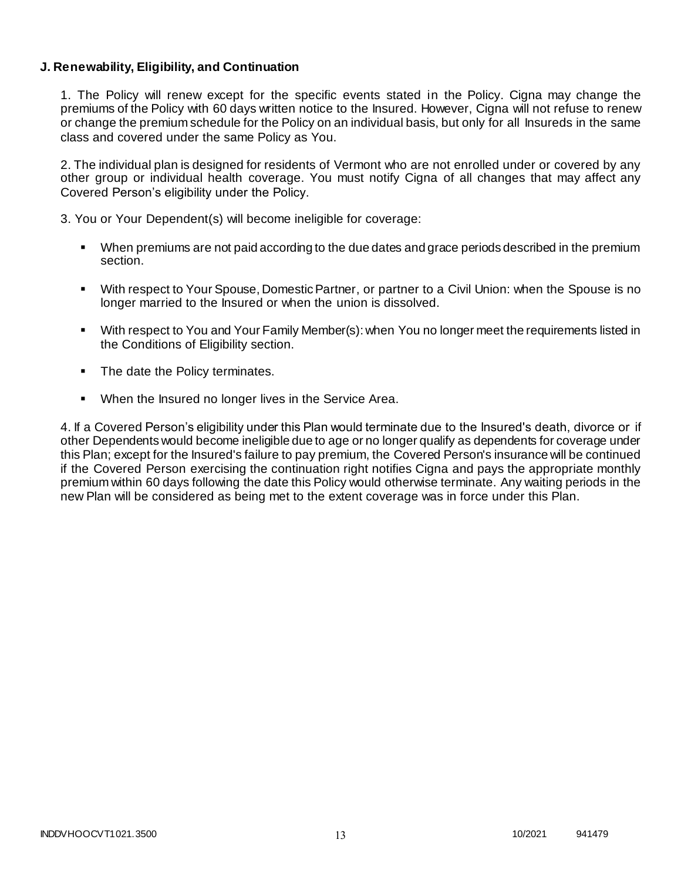### **J. Renewability, Eligibility, and Continuation**

1. The Policy will renew except for the specific events stated in the Policy. Cigna may change the premiums of the Policy with 60 days written notice to the Insured. However, Cigna will not refuse to renew or change the premium schedule for the Policy on an individual basis, but only for all Insureds in the same class and covered under the same Policy as You.

2. The individual plan is designed for residents of Vermont who are not enrolled under or covered by any other group or individual health coverage. You must notify Cigna of all changes that may affect any Covered Person's eligibility under the Policy.

3. You or Your Dependent(s) will become ineligible for coverage:

- When premiums are not paid according to the due dates and grace periods described in the premium section.
- With respect to Your Spouse, Domestic Partner, or partner to a Civil Union: when the Spouse is no longer married to the Insured or when the union is dissolved.
- With respect to You and Your Family Member(s): when You no longer meet the requirements listed in the Conditions of Eligibility section.
- The date the Policy terminates.
- When the Insured no longer lives in the Service Area.

4. If a Covered Person's eligibility under this Plan would terminate due to the Insured's death, divorce or if other Dependents would become ineligible due to age or no longer qualify as dependents for coverage under this Plan; except for the Insured's failure to pay premium, the Covered Person's insurance will be continued if the Covered Person exercising the continuation right notifies Cigna and pays the appropriate monthly premium within 60 days following the date this Policy would otherwise terminate. Any waiting periods in the new Plan will be considered as being met to the extent coverage was in force under this Plan.